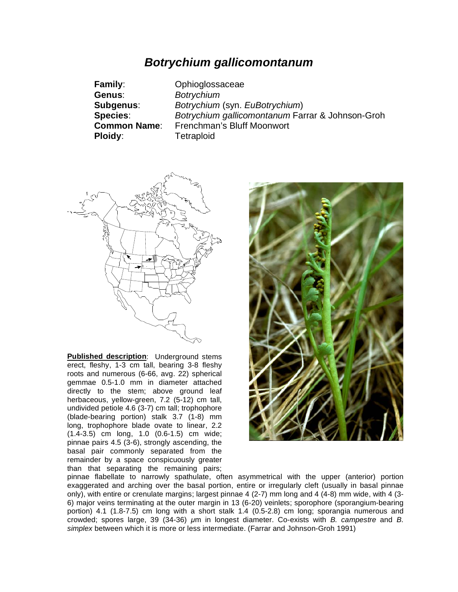## *Botrychium gallicomontanum*

| <b>Family:</b>      | Ophioglossaceae                                  |
|---------------------|--------------------------------------------------|
| <b>Genus:</b>       | <b>Botrychium</b>                                |
| Subgenus:           | Botrychium (syn. EuBotrychium)                   |
| <b>Species:</b>     | Botrychium gallicomontanum Farrar & Johnson-Groh |
| <b>Common Name:</b> | Frenchman's Bluff Moonwort                       |
| Ploidy:             | <b>Tetraploid</b>                                |



**Published description**: Underground stems erect, fleshy, 1-3 cm tall, bearing 3-8 fleshy roots and numerous (6-66, avg. 22) spherical gemmae 0.5-1.0 mm in diameter attached directly to the stem; above ground leaf herbaceous, yellow-green, 7.2 (5-12) cm tall, undivided petiole 4.6 (3-7) cm tall; trophophore (blade-bearing portion) stalk 3.7 (1-8) mm long, trophophore blade ovate to linear, 2.2 (1.4-3.5) cm long, 1.0 (0.6-1.5) cm wide; pinnae pairs 4.5 (3-6), strongly ascending, the basal pair commonly separated from the remainder by a space conspicuously greater than that separating the remaining pairs;



pinnae flabellate to narrowly spathulate, often asymmetrical with the upper (anterior) portion exaggerated and arching over the basal portion, entire or irregularly cleft (usually in basal pinnae only), with entire or crenulate margins; largest pinnae 4 (2-7) mm long and 4 (4-8) mm wide, with 4 (3- 6) major veins terminating at the outer margin in 13 (6-20) veinlets; sporophore (sporangium-bearing portion) 4.1 (1.8-7.5) cm long with a short stalk 1.4 (0.5-2.8) cm long; sporangia numerous and crowded; spores large, 39 (34-36)  $\mu$ m in longest diameter. Co-exists with *B. campestre* and *B. simplex* between which it is more or less intermediate. (Farrar and Johnson-Groh 1991)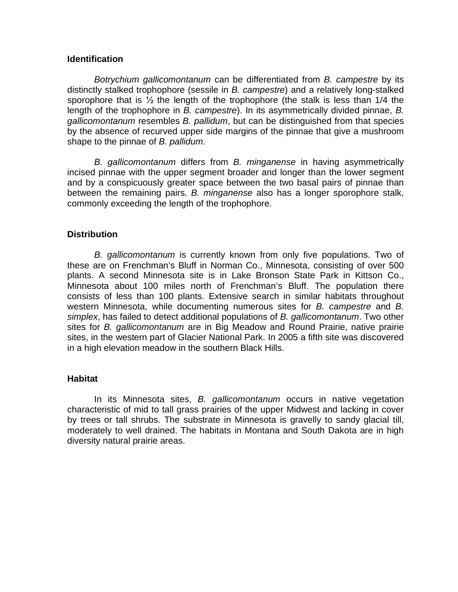## **Identification**

*Botrychium gallicomontanum* can be differentiated from *B. campestre* by its distinctly stalked trophophore (sessile in *B. campestre*) and a relatively long-stalked sporophore that is  $\frac{1}{2}$  the length of the trophophore (the stalk is less than 1/4 the length of the trophophore in *B. campestre*). In its asymmetrically divided pinnae, *B. gallicomontanum* resembles *B. pallidum*, but can be distinguished from that species by the absence of recurved upper side margins of the pinnae that give a mushroom shape to the pinnae of *B. pallidum*.

*B. gallicomontanum* differs from *B. minganense* in having asymmetrically incised pinnae with the upper segment broader and longer than the lower segment and by a conspicuously greater space between the two basal pairs of pinnae than between the remaining pairs. *B. minganense* also has a longer sporophore stalk, commonly exceeding the length of the trophophore.

## **Distribution**

*B. gallicomontanum* is currently known from only five populations. Two of these are on Frenchman's Bluff in Norman Co., Minnesota, consisting of over 500 plants. A second Minnesota site is in Lake Bronson State Park in Kittson Co., Minnesota about 100 miles north of Frenchman's Bluff. The population there consists of less than 100 plants. Extensive search in similar habitats throughout western Minnesota, while documenting numerous sites for *B. campestre* and *B. simplex*, has failed to detect additional populations of *B. gallicomontanum*. Two other sites for *B. gallicomontanum* are in Big Meadow and Round Prairie, native prairie sites, in the western part of Glacier National Park. In 2005 a fifth site was discovered in a high elevation meadow in the southern Black Hills.

## **Habitat**

In its Minnesota sites, *B. gallicomontanum* occurs in native vegetation characteristic of mid to tall grass prairies of the upper Midwest and lacking in cover by trees or tall shrubs. The substrate in Minnesota is gravelly to sandy glacial till, moderately to well drained. The habitats in Montana and South Dakota are in high diversity natural prairie areas.